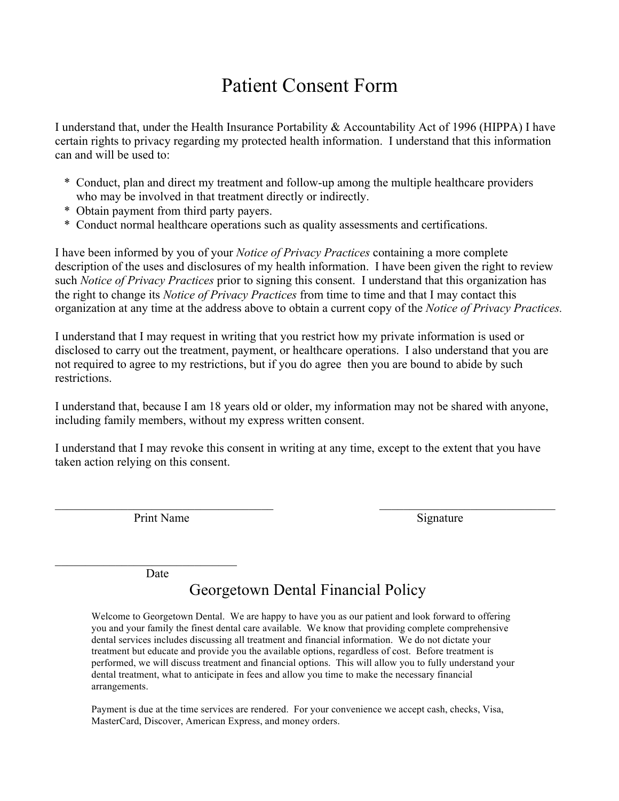## Patient Consent Form

I understand that, under the Health Insurance Portability & Accountability Act of 1996 (HIPPA) I have certain rights to privacy regarding my protected health information. I understand that this information can and will be used to:

- \* Conduct, plan and direct my treatment and follow-up among the multiple healthcare providers who may be involved in that treatment directly or indirectly.
- \* Obtain payment from third party payers.
- \* Conduct normal healthcare operations such as quality assessments and certifications.

I have been informed by you of your *Notice of Privacy Practices* containing a more complete description of the uses and disclosures of my health information. I have been given the right to review such *Notice of Privacy Practices* prior to signing this consent. I understand that this organization has the right to change its *Notice of Privacy Practices* from time to time and that I may contact this organization at any time at the address above to obtain a current copy of the *Notice of Privacy Practices.*

I understand that I may request in writing that you restrict how my private information is used or disclosed to carry out the treatment, payment, or healthcare operations. I also understand that you are not required to agree to my restrictions, but if you do agree then you are bound to abide by such restrictions.

I understand that, because I am 18 years old or older, my information may not be shared with anyone, including family members, without my express written consent.

I understand that I may revoke this consent in writing at any time, except to the extent that you have taken action relying on this consent.

 $\mathcal{L}_\text{max}$  , and the contribution of the contribution of the contribution of the contribution of the contribution of the contribution of the contribution of the contribution of the contribution of the contribution of t

Print Name Signature

Date

 $\mathcal{L}_\text{max}$  , where  $\mathcal{L}_\text{max}$  and  $\mathcal{L}_\text{max}$  and  $\mathcal{L}_\text{max}$ 

## Georgetown Dental Financial Policy

Welcome to Georgetown Dental. We are happy to have you as our patient and look forward to offering you and your family the finest dental care available. We know that providing complete comprehensive dental services includes discussing all treatment and financial information. We do not dictate your treatment but educate and provide you the available options, regardless of cost. Before treatment is performed, we will discuss treatment and financial options. This will allow you to fully understand your dental treatment, what to anticipate in fees and allow you time to make the necessary financial arrangements.

Payment is due at the time services are rendered. For your convenience we accept cash, checks, Visa, MasterCard, Discover, American Express, and money orders.